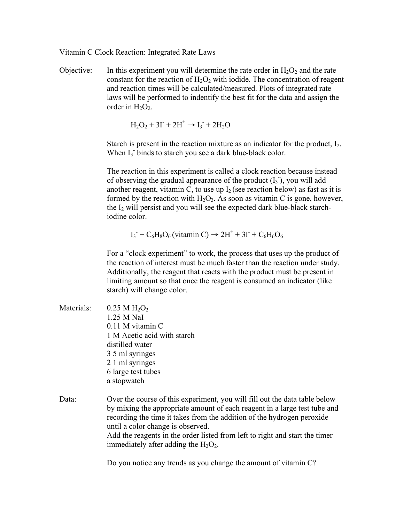Vitamin C Clock Reaction: Integrated Rate Laws

Objective: In this experiment you will determine the rate order in  $H_2O_2$  and the rate constant for the reaction of  $H_2O_2$  with iodide. The concentration of reagent and reaction times will be calculated/measured. Plots of integrated rate laws will be performed to indentify the best fit for the data and assign the order in  $H_2O_2$ .

 $H_2O_2 + 3I + 2H^+ \rightarrow I_3 + 2H_2O$ 

Starch is present in the reaction mixture as an indicator for the product,  $I_2$ . When I<sub>3</sub> binds to starch you see a dark blue-black color.

The reaction in this experiment is called a clock reaction because instead of observing the gradual appearance of the product  $(I_3)$ , you will add another reagent, vitamin C, to use up  $I_2$  (see reaction below) as fast as it is formed by the reaction with  $H_2O_2$ . As soon as vitamin C is gone, however, the  $I_2$  will persist and you will see the expected dark blue-black starchiodine color.

 $I_3$  +  $C_6H_8O_6$  (vitamin C)  $\rightarrow$  2H<sup>+</sup> + 3I<sup>-</sup> +  $C_6H_6O_6$ 

For a "clock experiment" to work, the process that uses up the product of the reaction of interest must be much faster than the reaction under study. Additionally, the reagent that reacts with the product must be present in limiting amount so that once the reagent is consumed an indicator (like starch) will change color.

Materials:  $0.25 \text{ M H}_2\text{O}_2$ 1.25 M NaI 0.11 M vitamin C 1 M Acetic acid with starch distilled water 3 5 ml syringes 2 1 ml syringes 6 large test tubes a stopwatch

Data: Over the course of this experiment, you will fill out the data table below by mixing the appropriate amount of each reagent in a large test tube and recording the time it takes from the addition of the hydrogen peroxide until a color change is observed. Add the reagents in the order listed from left to right and start the timer immediately after adding the  $H_2O_2$ .

Do you notice any trends as you change the amount of vitamin C?